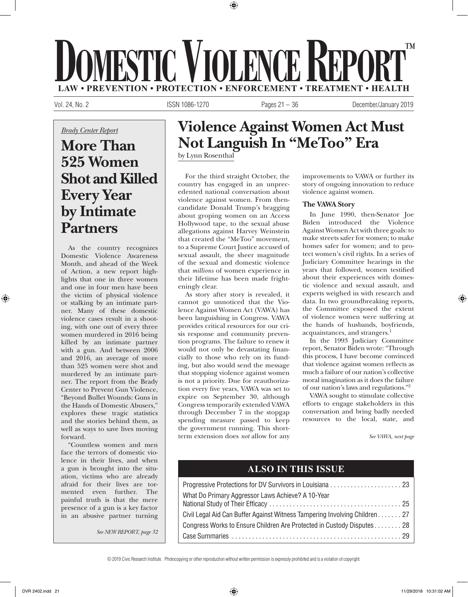# **LAW • PREVENTION • PROTECTION • ENFORCEMENT • TREATMENT • HEALTH DOMESTIC VIOLENCE REPORT ™**

⊕

Vol. 24, No. 2 ISSN 1086-1270 Pages 21 – 36 December/January 2019

*Brady Center Report*

# **More Than 525 Women Shot and Killed Every Year by Intimate Partners**

As the country recognizes Domestic Violence Awareness Month, and ahead of the Week of Action, a new report highlights that one in three women and one in four men have been the victim of physical violence or stalking by an intimate partner. Many of these domestic violence cases result in a shooting, with one out of every three women murdered in 2016 being killed by an intimate partner with a gun. And between 2006 and 2016, an average of more than 525 women were shot and murdered by an intimate partner. The report from the Brady Center to Prevent Gun Violence, "Beyond Bullet Wounds: Guns in the Hands of Domestic Abusers," explores these tragic statistics and the stories behind them, as well as ways to save lives moving forward.

"Countless women and men face the terrors of domestic violence in their lives, and when a gun is brought into the situation, victims who are already afraid for their lives are tormented even further. The painful truth is that the mere presence of a gun is a key factor in an abusive partner turning

*See NEW REPORT, page 32*

## **Violence Against Women Act Must Not Languish In "MeToo" Era**

by Lynn Rosenthal

For the third straight October, the country has engaged in an unprecedented national conversation about violence against women. From thencandidate Donald Trump's bragging about groping women on an Access Hollywood tape, to the sexual abuse allegations against Harvey Weinstein that created the "MeToo" movement, to a Supreme Court Justice accused of sexual assault, the sheer magnitude of the sexual and domestic violence that *millions* of women experience in their lifetime has been made frighteningly clear.

As story after story is revealed, it cannot go unnoticed that the Violence Against Women Act (VAWA) has been languishing in Congress. VAWA provides critical resources for our crisis response and community prevention programs. The failure to renew it would not only be devastating financially to those who rely on its funding, but also would send the message that stopping violence against women is not a priority. Due for reauthorization every five years, VAWA was set to expire on September 30, although Congress temporarily extended VAWA through December 7 in the stopgap spending measure passed to keep the government running. This shortterm extension does *not* allow for any improvements to VAWA or further its story of ongoing innovation to reduce violence against women.

### **The VAWA Story**

In June 1990, then-Senator Joe Biden introduced the Violence Against Women Act with three goals: to make streets safer for women; to make homes safer for women; and to protect women's civil rights. In a series of Judiciary Committee hearings in the years that followed, women testified about their experiences with domestic violence and sexual assault, and experts weighed in with research and data. In two groundbreaking reports, the Committee exposed the extent of violence women were suffering at the hands of husbands, boyfriends, acquaintances, and strangers.<sup>1</sup>

In the 1993 Judiciary Committee report, Senator Biden wrote: "Through this process, I have become convinced that violence against women reflects as much a failure of our nation's collective moral imagination as it does the failure of our nation's laws and regulations."2

VAWA sought to stimulate collective efforts to engage stakeholders in this conversation and bring badly needed resources to the local, state, and

*See VAWA, next page*

### **ALSO IN THIS ISSUE**

| What Do Primary Aggressor Laws Achieve? A 10-Year                          |  |
|----------------------------------------------------------------------------|--|
|                                                                            |  |
| Civil Legal Aid Can Buffer Against Witness Tampering Involving Children 27 |  |
| Congress Works to Ensure Children Are Protected in Custody Disputes 28     |  |
|                                                                            |  |

© 2019 Civic Research Institute. Photocopying or other reproduction without written permission is expressly prohibited and is a violation of copyright.

⊕

 $\ket{\text{d}}$  11/29/2018 10:31:02 AM  $\ket{\text{d}}$  11/29/2018 10:31:02 AM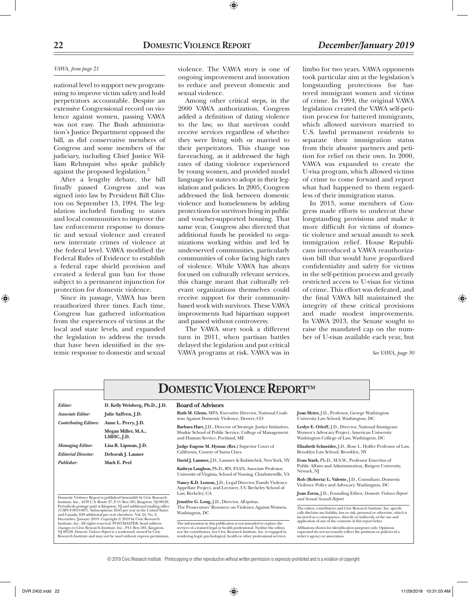#### *VAWA, from page 21*

national level to support new programming to improve victim safety and hold perpetrators accountable. Despite an extensive Congressional record on violence against women, passing VAWA was not easy. The Bush administration's Justice Department opposed the bill, as did conservative members of Congress and some members of the judiciary, including Chief Justice William Rehnquist who spoke publicly against the proposed legislation.3

After a lengthy debate, the bill finally passed Congress and was signed into law by President Bill Clinton on September 13, 1994. The legislation included funding to states and local communities to improve the law enforcement response to domestic and sexual violence and created new interstate crimes of violence at the federal level. VAWA modified the Federal Rules of Evidence to establish a federal rape shield provision and created a federal gun ban for those subject to a permanent injunction for protection for domestic violence.

Since its passage, VAWA has been reauthorized three times. Each time, Congress has gathered information from the experiences of victims at the local and state levels, and expanded the legislation to address the trends that have been identified in the systemic response to domestic and sexual

violence. The VAWA story is one of ongoing improvement and innovation to reduce and prevent domestic and sexual violence.

 $\textcircled{\scriptsize{+}}$ 

Among other critical steps, in the 2000 VAWA authorization, Congress added a definition of dating violence to the law, so that survivors could receive services regardless of whether they were living with or married to their perpetrators. This change was far-reaching, as it addressed the high rates of dating violence experienced by young women, and provided model language for states to adopt in their legislation and policies. In 2005, Congress addressed the link between domestic violence and homelessness by adding protections for survivors living in public and voucher-supported housing. That same year, Congress also directed that additional funds be provided to organizations working within and led by underserved communities, particularly communities of color facing high rates of violence. While VAWA has always focused on culturally relevant services, this change meant that culturally relevant organizations themselves could receive support for their communitybased work with survivors. These VAWA improvements had bipartisan support and passed without controversy.

The VAWA story took a different turn in 2011, when partisan battles delayed the legislation and put critical VAWA programs at risk. VAWA was in

limbo for two years. VAWA opponents took particular aim at the legislation's longstanding protections for battered immigrant women and victims of crime. In 1994, the original VAWA legislation created the VAWA self-petition process for battered immigrants, which allowed survivors married to U.S. lawful permanent residents to separate their immigration status from their abusive partners and petition for relief on their own. In 2000, VAWA was expanded to create the U-visa program, which allowed victims of crime to come forward and report what had happened to them regardless of their immigration status.

In 2013, some members of Congress made efforts to undercut these longstanding provisions and make it more difficult for victims of domestic violence and sexual assault to seek immigration relief. House Republicans introduced a VAWA reauthorization bill that would have jeopardized confidentiality and safety for victims in the self-petition process and greatly restricted access to U-visas for victims of crime. This effort was defeated, and the final VAWA bill maintained the integrity of these critical provisions and made modest improvements. In VAWA 2013, the Senate sought to raise the mandated cap on the number of U-visas available each year, but

*See VAWA, page 30*

|                                                                                                                                                                                                                                                                                                                                                                                                                                                                                                                                                                                                                                                                                                                                              | <b>DOMESTIC VIOLENCE REPORTTM</b>                        |                                                                                                                                                                                                                                                                                                   |                                                                                                                                                                                                                                                       |  |  |
|----------------------------------------------------------------------------------------------------------------------------------------------------------------------------------------------------------------------------------------------------------------------------------------------------------------------------------------------------------------------------------------------------------------------------------------------------------------------------------------------------------------------------------------------------------------------------------------------------------------------------------------------------------------------------------------------------------------------------------------------|----------------------------------------------------------|---------------------------------------------------------------------------------------------------------------------------------------------------------------------------------------------------------------------------------------------------------------------------------------------------|-------------------------------------------------------------------------------------------------------------------------------------------------------------------------------------------------------------------------------------------------------|--|--|
| Editor:                                                                                                                                                                                                                                                                                                                                                                                                                                                                                                                                                                                                                                                                                                                                      | D. Kelly Weisberg, Ph.D., J.D.                           | <b>Board of Advisors</b>                                                                                                                                                                                                                                                                          |                                                                                                                                                                                                                                                       |  |  |
| <b>Associate Editor:</b>                                                                                                                                                                                                                                                                                                                                                                                                                                                                                                                                                                                                                                                                                                                     | Julie Saffren, J.D.                                      | Ruth M. Glenn, MPA, Executive Director, National Coali-<br>tion Against Domestic Violence, Denver, CO                                                                                                                                                                                             | Joan Meier, J.D., Professor, George Washington<br>University Law School, Washington, DC                                                                                                                                                               |  |  |
| <b>Contributing Editors:</b>                                                                                                                                                                                                                                                                                                                                                                                                                                                                                                                                                                                                                                                                                                                 | Anne L. Perry, J.D.<br>Megan Miller, M.A.,<br>LMHC, J.D. | Barbara Hart, J.D., Director of Strategic Justice Initiatives,<br>Muskie School of Public Service, College of Management<br>and Human Service, Portland, ME                                                                                                                                       | Leslye E. Orloff, J.D., Director, National Immigrant<br>Women's Advocacy Project, American University<br>Washington College of Law, Washington, DC                                                                                                    |  |  |
| <b>Managing Editor:</b><br><b>Editorial Director:</b>                                                                                                                                                                                                                                                                                                                                                                                                                                                                                                                                                                                                                                                                                        | Lisa R. Lipman, J.D.<br>Deborah J. Launer                | Judge Eugene M. Hyman (Ret.) Superior Court of<br>California, County of Santa Clara                                                                                                                                                                                                               | Elizabeth Schneider, J.D., Rose L. Hoffer Professor of Law,<br>Brooklyn Law School, Brooklyn, NY                                                                                                                                                      |  |  |
| Publisher:<br>Mark E. Peel<br>Domestic Violence Report is published bimonthly by Civic Research<br>Institute, Inc., 4478 U.S. Route 27, P.O. Box 585, Kingston, NJ 08528.<br>Periodicals postage paid at Kingston, NJ and additional mailing office<br>(USPS #0015-087). Subscriptions: \$165 per year in the United States<br>and Canada. \$30 additional per year elsewhere. Vol. 24, No. 2.<br>December/January 2019. Copyright © 2019 by Civic Research<br>Institute, Inc. All rights reserved. POSTMASTER: Send address<br>changes to Civic Research Institute, Inc., P.O. Box 585, Kingston,<br>NJ 08528. Domestic Violence Report is a trademark owned by Civic<br>Research Institute and may not be used without express permission. |                                                          | David J. Lansner, J.D., Lansner & Kubitschek, New York, NY<br>Kathryn Laughon, Ph.D., RN, FAAN, Associate Professor,<br>University of Virginia, School of Nursing, Charlottesville, VA                                                                                                            | Evan Stark, Ph.D., M.S.W., Professor Emeritus of<br>Public Affairs and Administration, Rutgers University,<br>Newark, NJ                                                                                                                              |  |  |
|                                                                                                                                                                                                                                                                                                                                                                                                                                                                                                                                                                                                                                                                                                                                              |                                                          | Nancy K.D. Lemon, J.D., Legal Director, Family Violence<br>Appellate Project, and Lecturer, UC Berkeley School of<br>Law, Berkeley, CA                                                                                                                                                            | Rob (Roberta) L. Valente, J.D., Consultant, Domestic<br>Violence Policy and Advocacy, Washington, DC<br>Joan Zorza, J.D., Founding Editor, Domestic Violence Report                                                                                   |  |  |
|                                                                                                                                                                                                                                                                                                                                                                                                                                                                                                                                                                                                                                                                                                                                              |                                                          | Jennifer G. Long, J.D., Director, AEquitas,<br>The Prosecutors' Resource on Violence Against Women,<br>Washington, DC                                                                                                                                                                             | and Sexual Assault Report<br>The editor, contributors and Civic Research Institute, Inc. specifi-<br>cally disclaim any liability, loss or risk, personal or otherwise, which is<br>incurred as a consequence, directly or indirectly, of the use and |  |  |
|                                                                                                                                                                                                                                                                                                                                                                                                                                                                                                                                                                                                                                                                                                                                              |                                                          | The information in this publication is not intended to replace the<br>services of a trained legal or health professional. Neither the editor,<br>nor the contributors, nor Civic Research Institute, Inc. is engaged in<br>rendering legal, psychological, health or other professional services. | application of any of the contents of this report letter.<br>Affiliations shown for identification purposes only. Opinions<br>expressed do not necessarily reflect the positions or policies of a<br>writer's agency or association.                  |  |  |

© 2019 Civic Research Institute. Photocopying or other reproduction without written permission is expressly prohibited and is a violation of copyright.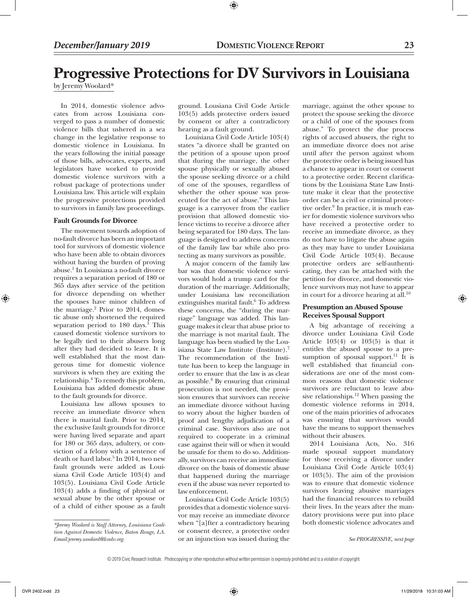# **Progressive Protections for DV Survivors in Louisiana**

⊕

by Jeremy Woolard\*

In 2014, domestic violence advocates from across Louisiana converged to pass a number of domestic violence bills that ushered in a sea change in the legislative response to domestic violence in Louisiana. In the years following the initial passage of those bills, advocates, experts, and legislators have worked to provide domestic violence survivors with a robust package of protections under Louisiana law. This article will explain the progressive protections provided to survivors in family law proceedings.

#### **Fault Grounds for Divorce**

The movement towards adoption of no-fault divorce has been an important tool for survivors of domestic violence who have been able to obtain divorces without having the burden of proving abuse.1 In Louisiana a no-fault divorce requires a separation period of 180 or 365 days after service of the petition for divorce depending on whether the spouses have minor children of the marriage.<sup>2</sup> Prior to 2014, domestic abuse only shortened the required separation period to 180 days.<sup>3</sup> This caused domestic violence survivors to be legally tied to their abusers long after they had decided to leave. It is well established that the most dangerous time for domestic violence survivors is when they are exiting the relationship.<sup>4</sup> To remedy this problem, Louisiana has added domestic abuse to the fault grounds for divorce.

Louisiana law allows spouses to receive an immediate divorce when there is marital fault. Prior to 2014, the exclusive fault grounds for divorce were having lived separate and apart for 180 or 365 days, adultery, or conviction of a felony with a sentence of death or hard labor.<sup>5</sup> In 2014, two new fault grounds were added as Louisiana Civil Code Article 103(4) and 103(5). Louisiana Civil Code Article 103(4) adds a finding of physical or sexual abuse by the other spouse or of a child of either spouse as a fault

ground. Lousiana Civil Code Article 103(5) adds protective orders issued by consent or after a contradictory hearing as a fault ground.

Louisiana Civil Code Article 103(4) states "a divorce shall be granted on the petition of a spouse upon proof that during the marriage, the other spouse physically or sexually abused the spouse seeking divorce or a child of one of the spouses, regardless of whether the other spouse was prosecuted for the act of abuse." This language is a carryover from the earlier provision that allowed domestic violence victims to receive a divorce after being separated for 180 days. The language is designed to address concerns of the family law bar while also protecting as many survivors as possible.

A major concern of the family law bar was that domestic violence survivors would hold a trump card for the duration of the marriage. Additionally, under Louisiana law reconciliation extinguishes marital fault.<sup>6</sup> To address these concerns, the "during the marriage" language was added. This language makes it clear that abuse prior to the marriage is not marital fault. The language has been studied by the Louisiana State Law Institute (Institute).7 The recommendation of the Institute has been to keep the language in order to ensure that the law is as clear as possible.8 By ensuring that criminal prosecution is not needed, the provision ensures that survivors can receive an immediate divorce without having to worry about the higher burden of proof and lengthy adjudication of a criminal case. Survivors also are not required to cooperate in a criminal case against their will or when it would be unsafe for them to do so. Additionally, survivors can receive an immediate divorce on the basis of domestic abuse that happened during the marriage even if the abuse was never reported to law enforcement.

Louisiana Civil Code Article 103(5) provides that a domestic violence survivor may receive an immediate divorce when "[a]fter a contradictory hearing or consent decree, a protective order or an injunction was issued during the

marriage, against the other spouse to protect the spouse seeking the divorce or a child of one of the spouses from abuse." To protect the due process rights of accused abusers, the right to an immediate divorce does not arise until after the person against whom the protective order is being issued has a chance to appear in court or consent to a protective order. Recent clarifications by the Louisiana State Law Institute make it clear that the protective order can be a civil or criminal protective order.<sup>9</sup> In practice, it is much easier for domestic violence survivors who have received a protective order to receive an immediate divorce, as they do not have to litigate the abuse again as they may have to under Louisiana Civil Code Article 103(4). Because protective orders are self-authenticating, they can be attached with the petition for divorce, and domestic violence survivors may not have to appear in court for a divorce hearing at all. $10$ 

#### **Presumption an Abused Spouse Receives Spousal Support**

A big advantage of receiving a divorce under Louisiana Civil Code Article  $103(4)$  or  $103(5)$  is that it entitles the abused spouse to a presumption of spousal support.<sup>11</sup> It is well established that financial considerations are one of the most common reasons that domestic violence survivors are reluctant to leave abusive relationships.<sup>12</sup> When passing the domestic violence reforms in 2014, one of the main priorities of advocates was ensuring that survivors would have the means to support themselves without their abusers.

2014 Louisiana Acts, No. 316 made spousal support mandatory for those receiving a divorce under Louisiana Civil Code Article 103(4) or 103(5). The aim of the provision was to ensure that domestic violence survivors leaving abusive marriages had the financial resources to rebuild their lives. In the years after the mandatory provisions were put into place both domestic violence advocates and

*See PROGRESSIVE, next page*

*<sup>\*</sup>Jeremy Woolard is Staff Attorney, Louisiana Coalition Against Domestic Violence, Baton Rouge, LA. Email:jeremy.woolard@lcadv.org.*

<sup>© 2019</sup> Civic Research Institute. Photocopying or other reproduction without written permission is expressly prohibited and is a violation of copyright.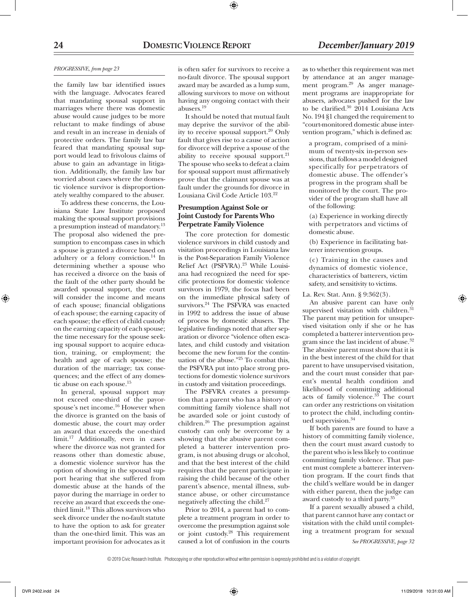#### *PROGRESSIVE, from page 23*

the family law bar identified issues with the language. Advocates feared that mandating spousal support in marriages where there was domestic abuse would cause judges to be more reluctant to make findings of abuse and result in an increase in denials of protective orders. The family law bar feared that mandating spousal support would lead to frivolous claims of abuse to gain an advantage in litigation. Additionally, the family law bar worried about cases where the domestic violence survivor is disproportionately wealthy compared to the abuser.

To address these concerns, the Louisiana State Law Institute proposed making the spousal support provisions a presumption instead of mandatory.<sup>13</sup> The proposal also widened the presumption to encompass cases in which a spouse is granted a divorce based on adultery or a felony conviction.14 In determining whether a spouse who has received a divorce on the basis of the fault of the other party should be awarded spousal support, the court will consider the income and means of each spouse; financial obligations of each spouse; the earning capacity of each spouse; the effect of child custody on the earning capacity of each spouse; the time necessary for the spouse seeking spousal support to acquire education, training, or employment; the health and age of each spouse; the duration of the marriage; tax consequences; and the effect of any domestic abuse on each spouse.<sup>15</sup>

In general, spousal support may not exceed one-third of the payorspouse's net income.<sup>16</sup> However when the divorce is granted on the basis of domestic abuse, the court may order an award that exceeds the one-third limit.17 Additionally, even in cases where the divorce was not granted for reasons other than domestic abuse, a domestic violence survivor has the option of showing in the spousal support hearing that she suffered from domestic abuse at the hands of the payor during the marriage in order to receive an award that exceeds the onethird limit.18 This allows survivors who seek divorce under the no-fault statute to have the option to ask for greater than the one-third limit. This was an important provision for advocates as it

is often safer for survivors to receive a no-fault divorce. The spousal support award may be awarded as a lump sum, allowing survivors to move on without having any ongoing contact with their abusers.<sup>19</sup>

It should be noted that mutual fault may deprive the survivor of the ability to receive spousal support.<sup>20</sup> Only fault that gives rise to a cause of action for divorce will deprive a spouse of the ability to receive spousal support.<sup>21</sup> The spouse who seeks to defeat a claim for spousal support must affirmatively prove that the claimant spouse was at fault under the grounds for divorce in Lousiana Civil Code Article 103.22

### **Presumption Against Sole or Joint Custody for Parents Who Perpetrate Family Violence**

The core protection for domestic violence survivors in child custody and visitation proceedings in Louisiana law is the Post-Separation Family Violence Relief Act (PSFVRA).23 While Louisiana had recognized the need for specific protections for domestic violence survivors in 1979, the focus had been on the immediate physical safety of survivors.24 The PSFVRA was enacted in 1992 to address the issue of abuse of process by domestic abusers. The legislative findings noted that after separation or divorce "violence often escalates, and child custody and visitation become the new forum for the continuation of the abuse."25 To combat this, the PSFVRA put into place strong protections for domestic violence survivors in custody and visitation proceedings.

The PSFVRA creates a presumption that a parent who has a history of committing family violence shall not be awarded sole or joint custody of children.26 The presumption against custody can only be overcome by a showing that the abusive parent completed a batterer intervention program, is not abusing drugs or alcohol, and that the best interest of the child requires that the parent participate in raising the child because of the other parent's absence, mental illness, substance abuse, or other circumstance negatively affecting the child.27

Prior to 2014, a parent had to complete a treatment program in order to overcome the presumption against sole or joint custody.28 This requirement caused a lot of confusion in the courts

as to whether this requirement was met by attendance at an anger management program.<sup>29</sup> As anger management programs are inappropriate for abusers, advocates pushed for the law to be clarified. $30\,2014$  Louisiana Acts No. 194 §1 changed the requirement to "court-monitored domestic abuse intervention program," which is defined as:

a program, comprised of a minimum of twenty-six in-person sessions, that follows a model designed specifically for perpetrators of domestic abuse. The offender's progress in the program shall be monitored by the court. The provider of the program shall have all of the following:

(a) Experience in working directly with perpetrators and victims of domestic abuse.

(b) Experience in facilitating batterer intervention groups.

(c) Training in the causes and dynamics of domestic violence, characteristics of batterers, victim safety, and sensitivity to victims.

La. Rev. Stat. Ann. § 9:362(3).

An abusive parent can have only supervised visitation with children.<sup>31</sup> The parent may petition for unsupervised visitation only if she or he has completed a batterer intervention program since the last incident of abuse.32 The abusive parent must show that it is in the best interest of the child for that parent to have unsupervised visitation, and the court must consider that parent's mental health condition and likelihood of committing additional acts of family violence.<sup>33</sup> The court can order any restrictions on visitation to protect the child, including continued supervision.<sup>34</sup>

If both parents are found to have a history of committing family violence, then the court must award custody to the parent who is less likely to continue committing family violence. That parent must complete a batterer intervention program. If the court finds that the child's welfare would be in danger with either parent, then the judge can award custody to a third party.35

If a parent sexually abused a child, that parent cannot have any contact or visitation with the child until completing a treatment program for sexual

*See PROGRESSIVE, page 32*

<sup>© 2019</sup> Civic Research Institute. Photocopying or other reproduction without written permission is expressly prohibited and is a violation of copyright.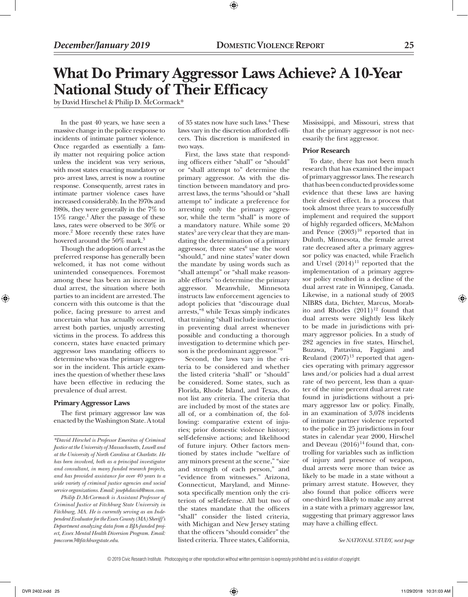## **What Do Primary Aggressor Laws Achieve? A 10-Year National Study of Their Efficacy**

⊕

by David Hirschel & Philip D. McCormack\*

In the past 40 years, we have seen a massive change in the police response to incidents of intimate partner violence. Once regarded as essentially a family matter not requiring police action unless the incident was very serious, with most states enacting mandatory or pro- arrest laws, arrest is now a routine response. Consequently, arrest rates in intimate partner violence cases have increased considerably. In the l970s and l980s, they were generally in the 7% to 15% range.1 After the passage of these laws, rates were observed to be 30% or more.2 More recently these rates have hovered around the 50% mark.<sup>3</sup>

Though the adoption of arrest as the preferred response has generally been welcomed, it has not come without unintended consequences. Foremost among these has been an increase in dual arrest, the situation where both parties to an incident are arrested. The concern with this outcome is that the police, facing pressure to arrest and uncertain what has actually occurred, arrest both parties, unjustly arresting victims in the process. To address this concern, states have enacted primary aggressor laws mandating officers to determine who was the primary aggressor in the incident. This article examines the question of whether these laws have been effective in reducing the prevalence of dual arrest.

#### **Primary Aggressor Laws**

The first primary aggressor law was enacted by the Washington State. A total

*Philip D.McCormack is Assistant Professor of Criminal Justice at Fitchburg State University in Fitchburg, MA. He is currently serving as an Independent Evaluator for the Essex County (MA) Sheriff's Department analyzing data from a BJA-funded project, Essex Mental Health Diversion Program. Email: pmccorm3@fitchburgstate.edu.*

of 35 states now have such laws.4 These laws vary in the discretion afforded officers. This discretion is manifested in two ways.

First, the laws state that responding officers either "shall" or "should" or "shall attempt to" determine the primary aggressor. As with the distinction between mandatory and proarrest laws, the terms "should or "shall attempt to" indicate a preference for arresting only the primary aggressor, while the term "shall" is more of a mandatory nature. While some 20 states $^5$  are very clear that they are mandating the determination of a primary aggressor, three states $6$  use the word "should," and nine states<sup>7</sup> water down the mandate by using words such as "shall attempt" or "shall make reasonable efforts" to determine the primary aggressor. Meanwhile, Minnesota instructs law enforcement agencies to adopt policies that "discourage dual arrests,"8 while Texas simply indicates that training "shall include instruction in preventing dual arrest whenever possible and conducting a thorough investigation to determine which person is the predominant aggressor."9

Second, the laws vary in the criteria to be considered and whether the listed criteria "shall" or "should" be considered. Some states, such as Florida, Rhode Island, and Texas, do not list any criteria. The criteria that are included by most of the states are all of, or a combination of, the following: comparative extent of injuries; prior domestic violence history; self-defensive actions; and likelihood of future injury. Other factors mentioned by states include "welfare of any minors present at the scene," "size and strength of each person," and "evidence from witnesses." Arizona, Connecticut, Maryland, and Minnesota specifically mention only the criterion of self-defense. All but two of the states mandate that the officers "shall" consider the listed criteria, with Michigan and New Jersey stating that the officers "should consider" the listed criteria. Three states, California,

Mississippi, and Missouri, stress that that the primary aggressor is not necessarily the first aggressor.

#### **Prior Research**

To date, there has not been much research that has examined the impact of primary aggressor laws. The research that has been conducted provides some evidence that these laws are having their desired effect. In a process that took almost three years to successfully implement and required the support of highly regarded officers, McMahon and Pence  $(2003)^{10}$  reported that in Duluth, Minnesota, the female arrest rate decreased after a primary aggressor policy was enacted, while Fraelich and Ursel  $(2014)^{11}$  reported that the implementation of a primary aggressor policy resulted in a decline of the dual arrest rate in Winnipeg, Canada. Likewise, in a national study of 2003 NIBRS data, Dichter, Marcus, Morabito and Rhodes  $(2011)^{12}$  found that dual arrests were slightly less likely to be made in jurisdictions with primary aggressor policies. In a study of 282 agencies in five states, Hirschel, Buzawa, Pattavina, Faggiani and Reuland  $(2007)^{13}$  reported that agencies operating with primary aggressor laws and/or policies had a dual arrest rate of two percent, less than a quarter of the nine percent dual arrest rate found in jurisdictions without a primary aggressor law or policy. Finally, in an examination of 3,078 incidents of intimate partner violence reported to the police in 25 jurisdictions in four states in calendar year 2000, Hirschel and Deveau  $(2016)^{14}$  found that, controlling for variables such as infliction of injury and presence of weapon, dual arrests were more than twice as likely to be made in a state without a primary arrest statute. However, they also found that police officers were one-third less likely to make any arrest in a state with a primary aggressor law, suggesting that primary aggressor laws may have a chilling effect.

*See NATIONAL STUDY, next page*

© 2019 Civic Research Institute. Photocopying or other reproduction without written permission is expressly prohibited and is a violation of copyright.

*<sup>\*</sup>David Hirschel is Professor Emeritus of Criminal Justice at the University of Massachusetts, Lowell and at the University of North Carolina at Charlotte. He has been involved, both as a principal investigator and consultant, in many funded research projects, and has provided assistance for over 40 years to a wide variety of criminal justice agencies and social service organizations. Email: josephdavid@msn.com.*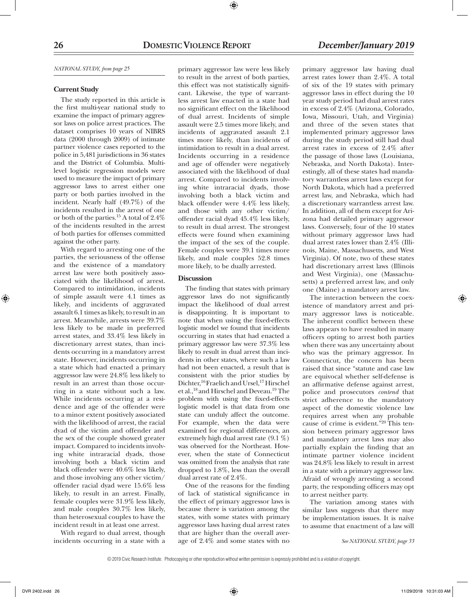#### *NATIONAL STUDY, from page 25*

#### **Current Study**

The study reported in this article is the first multi-year national study to examine the impact of primary aggressor laws on police arrest practices. The dataset comprises 10 years of NIBRS data (2000 through 2009) of intimate partner violence cases reported to the police in 5,481 jurisdictions in 36 states and the District of Columbia. Multilevel logistic regression models were used to measure the impact of primary aggressor laws to arrest either one party or both parties involved in the incident. Nearly half (49.7%) of the incidents resulted in the arrest of one or both of the parties.15 A total of 2.4% of the incidents resulted in the arrest of both parties for offenses committed against the other party.

With regard to arresting one of the parties, the seriousness of the offense and the existence of a mandatory arrest law were both positively associated with the likelihood of arrest. Compared to intimidation, incidents of simple assault were 4.1 times as likely, and incidents of aggravated assault 6.1 times as likely, to result in an arrest. Meanwhile, arrests were 39.7% less likely to be made in preferred arrest states, and 33.4% less likely in discretionary arrest states, than incidents occurring in a mandatory arrest state. However, incidents occurring in a state which had enacted a primary aggressor law were 24.8% less likely to result in an arrest than those occurring in a state without such a law. While incidents occurring at a residence and age of the offender were to a minor extent positively associated with the likelihood of arrest, the racial dyad of the victim and offender and the sex of the couple showed greater impact. Compared to incidents involving white intraracial dyads, those involving both a black victim and black offender were 40.6% less likely, and those involving any other victim/ offender racial dyad were 15.6% less likely, to result in an arrest. Finally, female couples were 31.9% less likely, and male couples 30.7% less likely, than heterosexual couples to have the incident result in at least one arrest.

With regard to dual arrest, though incidents occurring in a state with a primary aggressor law were less likely to result in the arrest of both parties, this effect was not statistically significant. Likewise, the type of warrantless arrest law enacted in a state had no significant effect on the likelihood of dual arrest. Incidents of simple assault were 2.5 times more likely, and incidents of aggravated assault 2.1 times more likely, than incidents of intimidation to result in a dual arrest. Incidents occurring in a residence and age of offender were negatively associated with the likelihood of dual arrest. Compared to incidents involving white intraracial dyads, those involving both a black victim and black offender were 4.4% less likely, and those with any other victim/ offender racial dyad 45.4% less likely, to result in dual arrest. The strongest effects were found when examining the impact of the sex of the couple. Female couples were 39.1 times more likely, and male couples 52.8 times more likely, to be dually arrested.

#### **Discussion**

The finding that states with primary aggressor laws do not significantly impact the likelihood of dual arrest is disappointing. It is important to note that when using the fixed-effects logistic model we found that incidents occurring in states that had enacted a primary aggressor law were 37.3% less likely to result in dual arrest than incidents in other states, where such a law had not been enacted, a result that is consistent with the prior studies by Dichter,<sup>16</sup> Fraelich and Ursel,<sup>17</sup> Hirschel et al.,18 and Hirschel and Deveau.19 The problem with using the fixed-effects logistic model is that data from one state can unduly affect the outcome. For example, when the data were examined for regional differences, an extremely high dual arrest rate (9.1 %) was observed for the Northeast. However, when the state of Connecticut was omitted from the analysis that rate dropped to 1.8%, less than the overall dual arrest rate of 2.4%.

One of the reasons for the finding of lack of statistical significance in the effect of primary aggressor laws is because there is variation among the states, with some states with primary aggressor laws having dual arrest rates that are higher than the overall average of 2.4% and some states with no

primary aggressor law having dual arrest rates lower than 2.4%. A total of six of the 19 states with primary aggressor laws in effect during the 10 year study period had dual arrest rates in excess of 2.4% (Arizona, Colorado, Iowa, Missouri, Utah, and Virginia) and three of the seven states that implemented primary aggressor laws during the study period still had dual arrest rates in excess of 2.4% after the passage of those laws (Louisiana, Nebraska, and North Dakota). Interestingly, all of these states had mandatory warrantless arrest laws except for North Dakota, which had a preferred arrest law, and Nebraska, which had a discretionary warrantless arrest law. In addition, all of them except for Arizona had detailed primary aggressor laws. Conversely, four of the 10 states without primary aggressor laws had dual arrest rates lower than 2.4% (Illinois, Maine, Massachusetts, and West Virginia). Of note, two of these states had discretionary arrest laws (Illinois and West Virginia), one (Massachusetts) a preferred arrest law, and only one (Maine) a mandatory arrest law.

The interaction between the coexistence of mandatory arrest and primary aggressor laws is noticeable. The inherent conflict between these laws appears to have resulted in many officers opting to arrest both parties when there was any uncertainty about who was the primary aggressor. In Connecticut, the concern has been raised that since "statute and case law are equivocal whether self-defense is an affirmative defense against arrest, police and prosecutors *contend* that strict adherence to the mandatory aspect of the domestic violence law requires arrest when any probable cause of crime is evident."20 This tension between primary aggressor laws and mandatory arrest laws may also partially explain the finding that an intimate partner violence incident was 24.8% less likely to result in arrest in a state with a primary aggressor law. Afraid of wrongly arresting a second party, the responding officers may opt to arrest neither party.

The variation among states with similar laws suggests that there may be implementation issues. It is naïve to assume that enactment of a law will

*See NATIONAL STUDY, page 33*

⊕

 $\ket{\text{d}}$  11/29/2018 10:31:03 AM  $\ket{\text{d}}$  11/29/2018 10:31:03 AM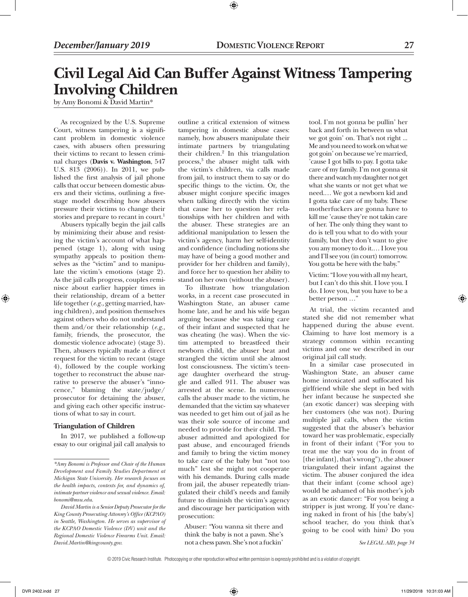## **Civil Legal Aid Can Buffer Against Witness Tampering Involving Children**

⊕

by Amy Bonomi & David Martin\*

As recognized by the U.S. Supreme Court, witness tampering is a significant problem in domestic violence cases, with abusers often pressuring their victims to recant to lessen criminal charges (**Davis v. Washington**, 547 U.S. 813 (2006)). In 2011, we published the first analysis of jail phone calls that occur between domestic abusers and their victims, outlining a fivestage model describing how abusers pressure their victims to change their stories and prepare to recant in court.<sup>1</sup>

Abusers typically begin the jail calls by minimizing their abuse and resisting the victim's account of what happened (stage 1), along with using sympathy appeals to position themselves as the "victim" and to manipulate the victim's emotions (stage 2). As the jail calls progress, couples reminisce about earlier happier times in their relationship, dream of a better life together (*e.g.,* getting married, having children), and position themselves against others who do not understand them and/or their relationship (*e.g.,* family, friends, the prosecutor, the domestic violence advocate) (stage 3). Then, abusers typically made a direct request for the victim to recant (stage 4), followed by the couple working together to reconstruct the abuse narrative to preserve the abuser's "innocence," blaming the state/judge/ prosecutor for detaining the abuser, and giving each other specific instructions of what to say in court.

#### **Triangulation of Children**

In 2017, we published a follow-up essay to our original jail call analysis to outline a critical extension of witness tampering in domestic abuse cases: namely, how abusers manipulate their intimate partners by triangulating their children.<sup>2</sup> In this triangulation process,<sup>3</sup> the abuser might talk with the victim's children, via calls made from jail, to instruct them to say or do specific things to the victim. Or, the abuser might conjure specific images when talking directly with the victim that cause her to question her relationships with her children and with the abuser. These strategies are an additional manipulation to lessen the victim's agency, harm her self-identity and confidence (including notions she may have of being a good mother and provider for her children and family), and force her to question her ability to stand on her own (without the abuser).

To illustrate how triangulation works, in a recent case prosecuted in Washington State, an abuser came home late, and he and his wife began arguing because she was taking care of their infant and suspected that he was cheating (he was). When the victim attempted to breastfeed their newborn child, the abuser beat and strangled the victim until she almost lost consciousness. The victim's teenage daughter overheard the struggle and called 911. The abuser was arrested at the scene. In numerous calls the abuser made to the victim, he demanded that the victim say whatever was needed to get him out of jail as he was their sole source of income and needed to provide for their child. The abuser admitted and apologized for past abuse, and encouraged friends and family to bring the victim money to take care of the baby but "not too much" lest she might not cooperate with his demands. During calls made from jail, the abuser repeatedly triangulated their child's needs and family future to diminish the victim's agency and discourage her participation with prosecution:

Abuser: "You wanna sit there and think the baby is not a pawn. She's not a chess pawn. She's not a fuckin'

tool. I'm not gonna be pullin' her back and forth in between us what we got goin' on. That's not right ... Me and you need to work on what we got goin' on because we're married, 'cause I got bills to pay. I gotta take care of my family. I'm not gonna sit there and watch my daughter not get what she wants or not get what we need.… We got a newborn kid and I gotta take care of my baby. These motherfuckers are gonna have to kill me 'cause they're not takin care of her. The only thing they want to do is tell you what to do with your family, but they don't want to give you any money to do it.… I love you and I'll see you (in court) tomorrow. You gotta be here with the baby."

Victim: "I love you with all my heart, but I can't do this shit. I love you. I do. I love you, but you have to be a better person …"

At trial, the victim recanted and stated she did not remember what happened during the abuse event. Claiming to have lost memory is a strategy common within recanting victims and one we described in our original jail call study.

In a similar case prosecuted in Washington State, an abuser came home intoxicated and suffocated his girlfriend while she slept in bed with her infant because he suspected she (an exotic dancer) was sleeping with her customers (she was not). During multiple jail calls, when the victim suggested that the abuser's behavior toward her was problematic, especially in front of their infant ("For you to treat me the way you do in front of [the infant], that's wrong"), the abuser triangulated their infant against the victim. The abuser conjured the idea that their infant (come school age) would be ashamed of his mother's job as an exotic dancer: "For you being a stripper is just wrong. If you're dancing naked in front of his [the baby's] school teacher, do you think that's going to be cool with him? Do you

*See LEGAL AID, page 34*

⊕

*<sup>\*</sup>Amy Bonomi is Professor and Chair of the Human Development and Family Studies Department at Michigan State University. Her research focuses on the health impacts, contexts for, and dynamics of, intimate partner violence and sexual violence. Email: bonomi@msu.edu.*

*David Martin is a Senior Deputy Prosecutor for the King County Prosecuting Attonrey's Office (KCPAO) in Seattle, Washington. He serves as supervisor of the KCPAO Domestic Violence (DV) unit and the Regional Domestic Violence Firearms Unit. Email: David.Martin@kingcounty.gov.*

<sup>© 2019</sup> Civic Research Institute. Photocopying or other reproduction without written permission is expressly prohibited and is a violation of copyright.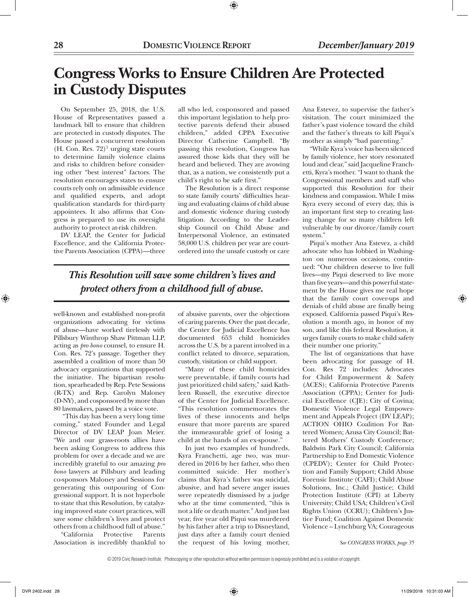## **Congress Works to Ensure Children Are Protected in Custody Disputes**

On September 25, 2018, the U.S. House of Representatives passed a landmark bill to ensure that children are protected in custody disputes. The House passed a concurrent resolution  $(H. Con. Res. 72)<sup>1</sup>$  urging state courts to determine family violence claims and risks to children before considering other "best interest" factors. The resolution encourages states to ensure courts rely only on admissible evidence and qualified experts, and adopt qualification standards for third-party appointees. It also affirms that Congress is prepared to use its oversight authority to protect at-risk children.

DV LEAP, the Center for Judicial Excellence, and the California Protective Parents Association (CPPA)—three all who led, cosponsored and passed this important legislation to help protective parents defend their abused children," added CPPA Executive Director Catherine Campbell. "By passing this resolution, Congress has assured those kids that they will be heard and believed. They are avowing that, as a nation, we consistently put a child's right to be safe first."

⊕

The Resolution is a direct response to state family courts' difficulties hearing and evaluating claims of child abuse and domestic violence during custody litigation. According to the Leadership Council on Child Abuse and Interpersonal Violence, an estimated 58,000 U.S. children per year are courtordered into the unsafe custody or care

*This Resolution will save some children's lives and protect others from a childhood full of abuse.*

well-known and established non-profit organizations advocating for victims of abuse—have worked tirelessly with Pillsbury Winthrop Shaw Pittman LLP, acting as *pro bono* counsel, to ensure H. Con. Res. 72's passage. Together they assembled a coalition of more than 50 advocacy organizations that supported the initiative. The bipartisan resolution, spearheaded by Rep. Pete Sessions (R-TX) and Rep. Carolyn Maloney (D-NY), and cosponsored by more than 80 lawmakers, passed by a voice vote.

 "This day has been a very long time coming," stated Founder and Legal Director of DV LEAP Joan Meier. "We and our grass-roots allies have been asking Congress to address this problem for over a decade and we are incredibly grateful to our amazing *pro bono* lawyers at Pillsbury and leading co-sponsors Maloney and Sessions for generating this outpouring of Congressional support. It is not hyperbole to state that this Resolution, by catalyzing improved state court practices, will save some children's lives and protect others from a childhood full of abuse."

"California Protective Parents Association is incredibly thankful to of abusive parents, over the objections of caring parents. Over the past decade, the Center for Judicial Excellence has documented 653 child homicides across the U.S. by a parent involved in a conflict related to divorce, separation, custody, visitation or child support.

"Many of these child homicides were preventable, if family courts had just prioritized child safety," said Kathleen Russell, the executive director of the Center for Judicial Excellence. "This resolution commemorates the lives of these innocents and helps ensure that more parents are spared the immeasurable grief of losing a child at the hands of an ex-spouse."

In just two examples of hundreds, Kyra Franchetti, age two, was murdered in 2016 by her father, who then committed suicide. Her mother's claims that Kyra's father was suicidal, abusive, and had severe anger issues were repeatedly dismissed by a judge who at the time commented, "this is not a life or death matter." And just last year, five year old Piqui was murdered by his father after a trip to Disneyland, just days after a family court denied the request of his loving mother,

Ana Estevez, to supervise the father's visitation. The court minimized the father's past violence toward the child and the father's threats to kill Piqui's mother as simply "bad parenting."

"While Kyra's voice has been silenced by family violence, her story resonated loud and clear," said Jacqueline Franchetti, Kyra's mother. "I want to thank the Congressional members and staff who supported this Resolution for their kindness and compassion. While I miss Kyra every second of every day, this is an important first step to creating lasting change for so many children left vulnerable by our divorce/family court system."

Piqui's mother Ana Estevez, a child advocate who has lobbied in Washington on numerous occasions, continued: "Our children deserve to live full lives—my Piqui deserved to live more than five years—and this powerful statement by the House gives me real hope that the family court cover-ups and denials of child abuse are finally being exposed. California passed Piqui's Resolution a month ago, in honor of my son, and like this federal Resolution, it urges family courts to make child safety their number one priority."

The list of organizations that have been advocating for passage of H. Con. Res 72 includes: Advocates for Child Empowerment & Safety (ACES); California Protective Parents Association (CPPA); Center for Judicial Excellence (CJE); City of Covina; Domestic Violence Legal Empowerment and Appeals Project (DV LEAP); ACTION OHIO Coalition For Battered Women; Azusa City Council; Battered Mothers' Custody Conference; Baldwin Park City Council; California Partnership to End Domestic Violence (CPEDV); Center for Child Protection and Family Support; Child Abuse Forensic Institute (CAFI); Child Abuse Solutions, Inc.; Child Justice; Child Protection Institute (CPI) at Liberty University; Child USA; Children's Civil Rights Union (CCRU); Children's Justice Fund; Coalition Against Domestic Violence – Lynchburg VA; Courageous

*See CONGRESS WORKS, page 35*

⊕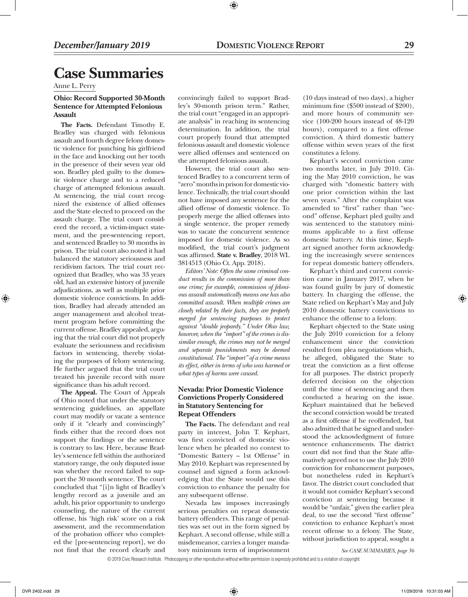# **Case Summaries**

Anne L. Perry

### **Ohio: Record Supported 30-Month Sentence for Attempted Felonious Assault**

**The Facts.** Defendant Timothy E. Bradley was charged with felonious assault and fourth degree felony domestic violence for punching his girlfriend in the face and knocking out her tooth in the presence of their seven year old son. Bradley pled guilty to the domestic violence charge and to a reduced charge of attempted felonious assault. At sentencing, the trial court recognized the existence of allied offenses and the State elected to proceed on the assault charge. The trial court considered the record, a victim-impact statement, and the pre-sentencing report, and sentenced Bradley to 30 months in prison. The trial court also noted it had balanced the statutory seriousness and recidivism factors. The trial court recognized that Bradley, who was 33 years old, had an extensive history of juvenile adjudications, as well as multiple prior domestic violence convictions. In addition, Bradley had already attended an anger management and alcohol treatment program before committing the current offense. Bradley appealed, arguing that the trial court did not properly evaluate the seriousness and recidivism factors in sentencing, thereby violating the purposes of felony sentencing. He further argued that the trial court treated his juvenile record with more significance than his adult record.

**The Appeal.** The Court of Appeals of Ohio noted that under the statutory sentencing guidelines, an appellate court may modify or vacate a sentence only if it "clearly and convincingly" finds either that the record does not support the findings or the sentence is contrary to law. Here, because Bradley's sentence fell within the authorized statutory range, the only disputed issue was whether the record failed to support the 30 month sentence. The court concluded that "[i]n light of Bradley's lengthy record as a juvenile and an adult, his prior opportunity to undergo counseling, the nature of the current offense, his 'high risk' score on a risk assessment, and the recommendation of the probation officer who completed the [pre-sentencing report], we do not find that the record clearly and

convincingly failed to support Bradley's 30-month prison term." Rather, the trial court "engaged in an appropriate analysis" in reaching its sentencing determination. In addition, the trial court properly found that attempted felonious assault and domestic violence were allied offenses and sentenced on the attempted felonious assault.

⊕

However, the trial court also sentenced Bradley to a concurrent term of "zero" months in prison for domestic violence. Technically, the trial court should not have imposed any sentence for the allied offense of domestic violence. To properly merge the allied offenses into a single sentence, the proper remedy was to vacate the concurrent sentence imposed for domestic violence. As so modified, the trial court's judgment was affirmed. **State v. Bradley**, 2018 WL 3814513 (Ohio Ct. App. 2018).

*Editors' Note: Often the same criminal conduct results in the commission of more than one crime; for example, commission of felonious assault automatically means one has also committed assault. When multiple crimes are closely related by their facts, they are properly merged for sentencing purposes to protect against "double jeopardy." Under Ohio law, however, when the "import" of the crimes is dissimilar enough, the crimes may not be merged and separate punishments may be deemed constitutional. The "import" of a crime means its effect, either in terms of who was harmed or what types of harms were caused.* 

### **Nevada: Prior Domestic Violence Convictions Properly Considered in Statutory Sentencing for Repeat Offenders**

**The Facts.** The defendant and real party in interest, John T. Kephart, was first convicted of domestic violence when he pleaded no contest to "Domestic Battery – 1st Offense" in May 2010. Kephart was represented by counsel and signed a form acknowledging that the State would use this conviction to enhance the penalty for any subsequent offense.

Nevada law imposes increasingly serious penalties on repeat domestic battery offenders. This range of penalties was set out in the form signed by Kephart. A second offense, while still a misdemeanor, carries a longer mandatory minimum term of imprisonment

(10 days instead of two days), a higher minimum fine (\$500 instead of \$200), and more hours of community service (100-200 hours instead of 48-120 hours), compared to a first offense conviction. A third domestic battery offense within seven years of the first constitutes a felony.

Kephart's second conviction came two months later, in July 2010. Citing the May 2010 conviction, he was charged with "domestic battery with one prior conviction within the last seven years." After the complaint was amended to "first" rather than "second" offense, Kephart pled guilty and was sentenced to the statutory minimums applicable to a first offense domestic battery. At this time, Kephart signed another form acknowledging the increasingly severe sentences for repeat domestic battery offenders.

Kephart's third and current conviction came in January 2017, when he was found guilty by jury of domestic battery. In charging the offense, the State relied on Kephart's May and July 2010 domestic battery convictions to enhance the offense to a felony.

Kephart objected to the State using the July 2010 conviction for a felony enhancement since the conviction resulted from plea negotiations which, he alleged, obligated the State to treat the conviction as a first offense for all purposes. The district properly deferred decision on the objection until the time of sentencing and then conducted a hearing on the issue. Kephart maintained that he believed the second conviction would be treated as a first offense if he reoffended, but also admitted that he signed and understood the acknowledgment of future sentence enhancements. The district court did not find that the State affirmatively agreed not to use the July 2010 conviction for enhancement purposes, but nonetheless ruled in Kephart's favor. The district court concluded that it would not consider Kephart's second conviction at sentencing because it would be "unfair," given the earlier plea deal, to use the second "first offense" conviction to enhance Kephart's most recent offense to a felony. The State, without jurisdiction to appeal, sought a

*See CASE SUMMARIES, page 36*

© 2019 Civic Research Institute. Photocopying or other reproduction without written permission is expressly prohibited and is a violation of copyright.

⊕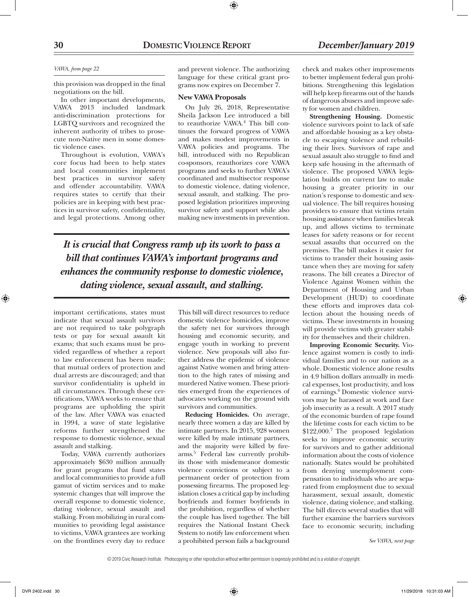#### *VAWA, from page 22*

this provision was dropped in the final negotiations on the bill.

In other important developments, VAWA 2013 included landmark anti-discrimination protections for LGBTQ survivors and recognized the inherent authority of tribes to prosecute non-Native men in some domestic violence cases.

Throughout is evolution, VAWA's core focus had been to help states and local communities implement best practices in survivor safety and offender accountability. VAWA requires states to certify that their policies are in keeping with best practices in survivor safety, confidentiality, and legal protections. Among other

and prevent violence. The authorizing language for these critical grant programs now expires on December 7.

⊕

#### **New VAWA Proposals**

On July 26, 2018, Representative Sheila Jackson Lee introduced a bill to reauthorize VAWA.<sup>4</sup> This bill continues the forward progress of VAWA and makes modest improvements in VAWA policies and programs. The bill, introduced with no Republican co-sponsors, reauthorizes core VAWA programs and seeks to further VAWA's coordinated and multisector response to domestic violence, dating violence, sexual assault, and stalking. The proposed legislation prioritizes improving survivor safety and support while also making new investments in prevention.

*It is crucial that Congress ramp up its work to pass a bill that continues VAWA's important programs and enhances the community response to domestic violence, dating violence, sexual assault, and stalking.*

important certifications, states must indicate that sexual assault survivors are not required to take polygraph tests or pay for sexual assault kit exams; that such exams must be provided regardless of whether a report to law enforcement has been made; that mutual orders of protection and dual arrests are discouraged; and that survivor confidentiality is upheld in all circumstances. Through these certifications, VAWA works to ensure that programs are upholding the spirit of the law. After VAWA was enacted in 1994, a wave of state legislative reforms further strengthened the response to domestic violence, sexual assault and stalking.

Today, VAWA currently authorizes approximately \$630 million annually for grant programs that fund states and local communities to provide a full gamut of victim services and to make systemic changes that will improve the overall response to domestic violence, dating violence, sexual assault and stalking. From mobilizing in rural communities to providing legal assistance to victims, VAWA grantees are working on the frontlines every day to reduce

This bill will direct resources to reduce domestic violence homicides, improve the safety net for survivors through housing and economic security, and engage youth in working to prevent violence. New proposals will also further address the epidemic of violence against Native women and bring attention to the high rates of missing and murdered Native women. These priorities emerged from the experiences of advocates working on the ground with survivors and communities.

**Reducing Homicides.** On average, nearly three women a day are killed by intimate partners. In 2015, 928 women were killed by male intimate partners, and the majority were killed by firearms.5 Federal law currently prohibits those with misdemeanor domestic violence convictions or subject to a permanent order of protection from possessing firearms. The proposed legislation closes a critical gap by including boyfriends and former boyfriends in the prohibition, regardless of whether the couple has lived together. The bill requires the National Instant Check System to notify law enforcement when a prohibited person fails a background

check and makes other improvements to better implement federal gun prohibitions. Strengthening this legislation will help keep firearms out of the hands of dangerous abusers and improve safety for women and children.

**Strengthening Housing.** Domestic violence survivors point to lack of safe and affordable housing as a key obstacle to escaping violence and rebuilding their lives. Survivors of rape and sexual assault also struggle to find and keep safe housing in the aftermath of violence. The proposed VAWA legislation builds on current law to make housing a greater priority in our nation's response to domestic and sexual violence. The bill requires housing providers to ensure that victims retain housing assistance when families break up, and allows victims to terminate leases for safety reasons or for recent sexual assaults that occurred on the premises. The bill makes it easier for victims to transfer their housing assistance when they are moving for safety reasons. The bill creates a Director of Violence Against Women within the Department of Housing and Urban Development (HUD) to coordinate these efforts and improves data collection about the housing needs of victims. These investments in housing will provide victims with greater stability for themselves and their children.

**Improving Economic Security.** Violence against women is costly to individual families and to our nation as a whole. Domestic violence alone results in 4.9 billion dollars annually in medical expenses, lost productivity, and loss of earnings.<sup>6</sup> Domestic violence survivors may be harassed at work and face job insecurity as a result. A 2017 study of the economic burden of rape found the lifetime costs for each victim to be \$122,000.<sup>7</sup> The proposed legislation seeks to improve economic security for survivors and to gather additional information about the costs of violence nationally. States would be prohibited from denying unemployment compensation to individuals who are separated from employment due to sexual harassment, sexual assault, domestic violence, dating violence, and stalking. The bill directs several studies that will further examine the barriers survivors face to economic security, including

*See VAWA, next page*

© 2019 Civic Research Institute. Photocopying or other reproduction without written permission is expressly prohibited and is a violation of copyright.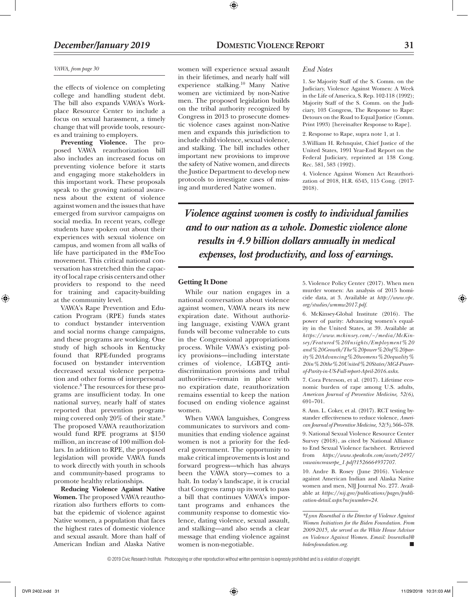#### *VAWA, from page 30*

the effects of violence on completing college and handling student debt. The bill also expands VAWA's Workplace Resource Center to include a focus on sexual harassment, a timely change that will provide tools, resources and training to employers.

**Preventing Violence.** The proposed VAWA reauthorization bill also includes an increased focus on preventing violence before it starts and engaging more stakeholders in this important work. These proposals speak to the growing national awareness about the extent of violence against women and the issues that have emerged from survivor campaigns on social media. In recent years, college students have spoken out about their experiences with sexual violence on campus, and women from all walks of life have participated in the #MeToo movement. This critical national conversation has stretched thin the capacity of local rape crisis centers and other providers to respond to the need for training and capacity-building at the community level.

VAWA's Rape Prevention and Education Program (RPE) funds states to conduct bystander intervention and social norms change campaigns, and these programs are working. One study of high schools in Kentucky found that RPE-funded programs focused on bystander intervention decreased sexual violence perpetration and other forms of interpersonal violence.8 The resources for these programs are insufficient today. In one national survey, nearly half of states reported that prevention programming covered only 20% of their state.<sup>9</sup> The proposed VAWA reauthorization would fund RPE programs at \$150 million, an increase of 100 million dollars. In addition to RPE, the proposed legislation will provide VAWA funds to work directly with youth in schools and community-based programs to promote healthy relationships.

**Reducing Violence Against Native Women.** The proposed VAWA reauthorization also furthers efforts to combat the epidemic of violence against Native women, a population that faces the highest rates of domestic violence and sexual assault. More than half of American Indian and Alaska Native

women will experience sexual assault in their lifetimes, and nearly half will experience stalking.10 Many Native women are victimized by non-Native men. The proposed legislation builds on the tribal authority recognized by Congress in 2013 to prosecute domestic violence cases against non-Native men and expands this jurisdiction to include child violence, sexual violence, and stalking. The bill includes other important new provisions to improve the safety of Native women, and directs the Justice Department to develop new protocols to investigate cases of missing and murdered Native women.

⊕

#### *End Notes*

1. *See* Majority Staff of the S. Comm. on the Judiciary, Violence Against Women: A Week in the Life of America, S. Rep. 102-118 (1992); Majority Staff of the S. Comm. on the Judiciary, 103 Congress, The Response to Rape: Detours on the Road to Equal Justice (Comm. Print 1993) [hereinafter Response to Rape].

2. Response to Rape, supra note 1, at 1.

3.William H. Rehnquist, Chief Justice of the United States, 1991 Year-End Report on the Federal Judiciary, reprinted at 138 Cong. Rec. 581, 583 (1992).

4. Violence Against Women Act Reauthorization of 2018, H.R. 6545, 115 Cong. (2017- 2018).

*Violence against women is costly to individual families and to our nation as a whole. Domestic violence alone results in 4.9 billion dollars annually in medical expenses, lost productivity, and loss of earnings.*

### **Getting It Done**

While our nation engages in a national conversation about violence against women, VAWA nears its new expiration date. Without authorizing language, existing VAWA grant funds will become vulnerable to cuts in the Congressional appropriations process. While VAWA's existing policy provisions—including interstate crimes of violence, LGBTQ antidiscrimination provisions and tribal authorities—remain in place with no expiration date, reauthorization remains essential to keep the nation focused on ending violence against women.

When VAWA languishes, Congress communicates to survivors and communities that ending violence against women is not a priority for the federal government. The opportunity to make critical improvements is lost and forward progress—which has always been the VAWA story—comes to a halt. In today's landscape, it is crucial that Congress ramp up its work to pass a bill that continues VAWA's important programs and enhances the community response to domestic violence, dating violence, sexual assault, and stalking—and also sends a clear message that ending violence against women is non-negotiable.

5. Violence Policy Center (2017). When men murder women: An analysis of 2015 homicide data, at 3. Available at *http://www.vpc. org/studies/wmmw2017.pdf.*

6. McKinsey-Global Institute (2016). The power of parity: Advancing women's equality in the United States, at 39. Available at *https://www.mckinsey.com/~/media/McKinsey/Featured%20Insights/Employment%20 and%20Growth/The%20power%20of%20parity%20Advancing%20womens%20equality% 20in%20the%20United%20States/MGI-Powerof-Parity-in-US-Full-report-April-2016.ashx.*

7. Cora Peterson, et al. (2017). Lifetime economic burden of rape among U.S. adults, *American Journal of Preventive Medicine, 52(6)*, 691–701.

8. Ann. L. Coker, et al. (2017). RCT testing bystander effectiveness to reduce violence, *American Journal of Preventive Medicine, 52(5)*, 566–578.

9. National Sexual Violence Resource Center Survey (2018), as cited by National Alliance to End Sexual Violence factsheet. Retrieved from *https://www.speakcdn.com/assets/2497/ vawaincreaserpe\_1.pdf?1526664937707.*

10. Andre B. Rosey (June 2016). Violence against American Indian and Alaska Native women and men, NIJ Journal No. 277. Available at *https://nij.gov/publications/pages/publication-detail.aspx?ncjnumber=24.*

*\*Lynn Rosenthal is the Director of Violence Against Women Initiatives for the Biden Foundation. From 2009-2015, she served as the White House Advisor on Violence Against Women. Email: lrosenthal@*  $b$ *idenfoundation.org.* 

© 2019 Civic Research Institute. Photocopying or other reproduction without written permission is expressly prohibited and is a violation of copyright.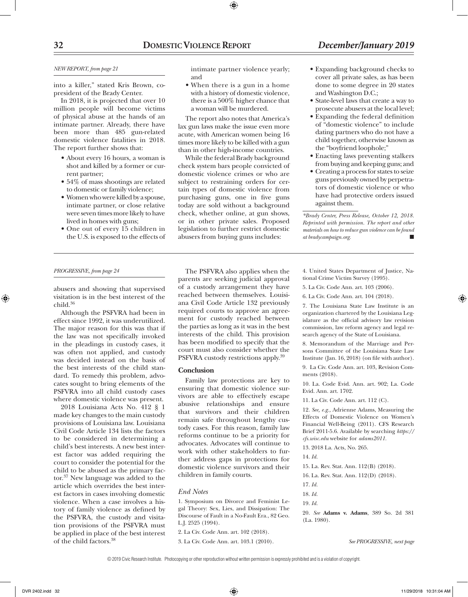### **32 DomesticViolence Report** *December/January 2019*

#### *NEW REPORT, from page 21*

into a killer," stated Kris Brown, copresident of the Brady Center.

In 2018, it is projected that over 10 million people will become victims of physical abuse at the hands of an intimate partner. Already, there have been more than 485 gun-related domestic violence fatalities in 2018. The report further shows that:

- About every 16 hours, a woman is shot and killed by a former or current partner;
- • 54% of mass shootings are related to domestic or family violence;
- Women who were killed by a spouse, intimate partner, or close relative were seven times more likely to have lived in homes with guns;
- • One out of every 15 children in the U.S. is exposed to the effects of

#### *PROGRESSIVE, from page 24*

⊕

abusers and showing that supervised visitation is in the best interest of the child.36

Although the PSFVRA had been in effect since 1992, it was underutilized. The major reason for this was that if the law was not specifically invoked in the pleadings in custody cases, it was often not applied, and custody was decided instead on the basis of the best interests of the child standard. To remedy this problem, advocates sought to bring elements of the PSFVRA into all child custody cases where domestic violence was present.

2018 Louisiana Acts No. 412 § 1 made key changes to the main custody provisions of Louisiana law. Louisiana Civil Code Article 134 lists the factors to be considered in determining a child's best interests. A new best interest factor was added requiring the court to consider the potential for the child to be abused as the primary factor.37 New language was added to the article which overrides the best interest factors in cases involving domestic violence. When a case involves a history of family violence as defined by the PSFVRA, the custody and visitation provisions of the PSFVRA must be applied in place of the best interest of the child factors.38

intimate partner violence yearly; and

• When there is a gun in a home with a history of domestic violence, there is a 500% higher chance that a woman will be murdered.

The report also notes that America's lax gun laws make the issue even more acute, with American women being 16 times more likely to be killed with a gun than in other high-income countries.

While the federal Brady background check system bars people convicted of domestic violence crimes or who are subject to restraining orders for certain types of domestic violence from purchasing guns, one in five guns today are sold without a background check, whether online, at gun shows, or in other private sales. Proposed legislation to further restrict domestic abusers from buying guns includes:

The PSFVRA also applies when the parents are seeking judicial approval of a custody arrangement they have reached between themselves. Louisiana Civil Code Article 132 previously required courts to approve an agreement for custody reached between the parties as long as it was in the best interests of the child. This provision has been modified to specify that the court must also consider whether the PSFVRA custody restrictions apply.39

Family law protections are key to ensuring that domestic violence survivors are able to effectively escape abusive relationships and ensure that survivors and their children remain safe throughout lengthy custody cases. For this reason, family law reforms continue to be a priority for advocates. Advocates will continue to work with other stakeholders to further address gaps in protections for domestic violence survivors and their

**Conclusion**

• Expanding background checks to cover all private sales, as has been done to some degree in 20 states and Washington D.C.;

- • State-level laws that create a way to prosecute abusers at the local level;
- • Expanding the federal definition of "domestic violence" to include dating partners who do not have a child together, otherwise known as the "boyfriend loophole;"
- • Enacting laws preventing stalkers from buying and keeping guns; and
- Creating a process for states to seize guns previously owned by perpetrators of domestic violence or who have had protective orders issued against them.

*\*Brady Center, Press Release, October 12, 2018. Reprinted with permission. The report and other materials on how to reduce gun violence can be found*   $at$  *bradycampaign.org.* 

4. United States Department of Justice, National Crime Victim Survey (1995).

5. La Civ. Code Ann. art. 103 (2006).

6. La Civ. Code Ann. art. 104 (2018).

7. The Louisiana State Law Institute is an organization chartered by the Louisiana Legislature as the official advisory law revision commission, law reform agency and legal research agency of the State of Louisiana.

8. Memorandum of the Marriage and Persons Committee of the Louisiana State Law Institute (Jan. 16, 2018) (on file with author).

9. La Civ. Code Ann. art. 103, Revision Comments (2018).

10. La. Code Evid. Ann. art. 902; La. Code Evid. Ann. art. 1702.

11. La Civ. Code Ann. art. 112 (C).

12. *See, e.g.,* Adrienne Adams, Measuring the Effects of Domestic Violence on Women's Financial Well-Being (2011). CFS Research Brief 2011-5.6. Available by searching *https:// cfs.wisc.edu* website for *adams2011.*

13. 2018 La. Acts, No. 265.

14. *Id.* 

15. La. Rev. Stat. Ann. 112(B) (2018).

16. La. Rev. Stat. Ann. 112(D) (2018).

17. *Id.*

18. *Id.*

19. *Id.*

20. *See* **Adams v. Adams**, 389 So. 2d 381 (La. 1980).

*See PROGRESSIVE, next page*

© 2019 Civic Research Institute. Photocopying or other reproduction without written permission is expressly prohibited and is a violation of copyright.

1. Symposium on Divorce and Feminist Legal Theory: Sex, Lies, and Dissipation: The Discourse of Fault in a No-Fault Era., 82 Geo.

2. La Civ. Code Ann. art. 102 (2018). 3. La Civ. Code Ann. art. 103.1 (2010).

children in family courts.

*End Notes*

L.J. 2525 (1994).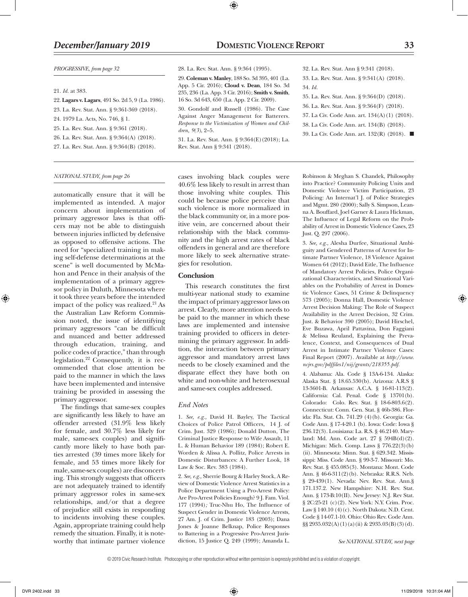#### *PROGRESSIVE, from page 32*

#### 21. *Id.* at 383.

- 22. **Lagars v. Lagars**, 491 So. 2d 5, 9 (La. 1986). 23. La. Rev. Stat. Ann. § 9:361-369 (2018). 24. 1979 La. Acts, No. 746, § 1.
- 25. La. Rev. Stat. Ann. § 9:361 (2018).
- 26. La. Rev. Stat. Ann. § 9:364(A) (2018).

27. La. Rev. Stat. Ann. § 9:364(B) (2018).

#### *NATIONAL STUDY, from page 26*

automatically ensure that it will be implemented as intended. A major concern about implementation of primary aggressor laws is that officers may not be able to distinguish between injuries inflicted by defensive as opposed to offensive actions. The need for "specialized training in making self-defense determinations at the scene" is well documented by McMahon and Pence in their analysis of the implementation of a primary aggressor policy in Duluth, Minnesota where it took three years before the intended impact of the policy was realized.<sup>21</sup> As the Australian Law Reform Commission noted, the issue of identifying primary aggressors "can be difficult and nuanced and better addressed through education, training, and police codes of practice," than through legislation.22 Consequently, it is recommended that close attention be paid to the manner in which the laws have been implemented and intensive training be provided in assessing the primary aggressor.

The findings that same-sex couples are significantly less likely to have an offender arrested (31.9% less likely for female, and 30.7% less likely for male, same-sex couples) and significantly more likely to have both parties arrested (39 times more likely for female, and 53 times more likely for male, same-sex couples) are disconcerting. This strongly suggests that officers are not adequately trained to identify primary aggressor roles in same-sex relationships, and/or that a degree of prejudice still exists in responding to incidents involving these couples. Again, appropriate training could help remedy the situation. Finally, it is noteworthy that intimate partner violence

cases involving black couples were 40.6% less likely to result in arrest than those involving white couples. This could be because police perceive that such violence is more normalized in the black community or, in a more positive vein, are concerned about their relationship with the black community and the high arrest rates of black offenders in general and are therefore more likely to seek alternative strategies for resolution.

31. La. Rev. Stat. Ann. § 9:364(E)(2018); La.

Rev. Stat. Ann § 9:341 (2018).

28. La. Rev. Stat. Ann. § 9:364 (1995). 29. **Coleman v. Manley**, 188 So. 3d 395, 401 (La. App. 5 Cir. 2016); **Cloud v. Dean**, 184 So. 3d 235, 236 (La. App. 3 Cir. 2016); **Smith v. Smith**, 16 So. 3d 643, 650 (La. App. 2 Cir. 2009). 30. Gondolf and Russell (1986). The Case Against Anger Management for Batterers*. Response to the Victimization of Women and Chil-*

⊕

#### **Conclusion**

*dren, 9(3)*, 2–5.

This research constitutes the first multi-year national study to examine the impact of primary aggressor laws on arrest. Clearly, more attention needs to be paid to the manner in which these laws are implemented and intensive training provided to officers in determining the primary aggressor. In addition, the interaction between primary aggressor and mandatory arrest laws needs to be closely examined and the disparate effect they have both on white and non-white and heterosexual and same-sex couples addressed.

#### *End Notes*

1. *See, e.g.,* David H. Bayley, The Tactical Choices of Police Patrol Officers, 14 J. of Crim. Just. 329 (1986); Donald Dutton, The Criminal Justice Response to Wife Assault, 11 L. & Human Behavior 189 (1984); Robert E. Worden & Alissa A. Pollitz, Police Arrests in Domestic Disturbances: A Further Look, 18 Law & Soc. Rev. 383 (1984).

2. *See, e.g.,* Sherrie Bourg & Harley Stock, A Review of Domestic Violence Arrest Statistics in a Police Department Using a Pro-Arrest Policy: Are Pro-Arrest Policies Enough? 9 J. Fam. Viol. 177 (1994)*;* Truc-Nhu Ho, The Influence of Suspect Gender in Domestic Violence Arrests, 27 Am. J. of Crim. Justice 183 (2003); Dana Jones & Joanne Belknap, Police Responses to Battering in a Progressive Pro-Arrest Jurisdiction, 15 Justice Q. 249 (1999); Amanda L.

Robinson & Meghan S. Chandek, Philosophy into Practice? Community Policing Units and Domestic Violence Victim Participation, 23 Policing: An Internat'l J. of Police Strategies and Mgmt. 280 (2000); Sally S. Simpson, Leanna A. Bouffard, Joel Garner & Laura Hickman, The Influence of Legal Reform on the Probability of Arrest in Domestic Violence Cases, 23 Just. Q. 297 (2006).

32. La. Rev. Stat. Ann § 9:341 (2018). 33. La. Rev. Stat. Ann. § 9:341(A) (2018).

35. La. Rev. Stat. Ann. § 9:364(D) (2018). 36. La. Rev. Stat. Ann. § 9:364(F) (2018). 37. La Civ. Code Ann. art. 134(A)(1) (2018). 38. La Civ. Code Ann. art. 134(B) (2018). 39. La Civ. Code Ann. art.  $132(R)$  (2018).  $\blacksquare$ 

34. *Id.*

3. *See, e.g.,* Alesha Durfee, Situational Ambiguity and Gendered Patterns of Arrest for Intimate Partner Violence, 18 Violence Against Women 64 (2012); David Eitle, The Influence of Mandatory Arrest Policies, Police Organizational Characteristics, and Situational Variables on the Probability of Arrest in Domestic Violence Cases, 51 Crime & Delinquency 573 (2005); Donna Hall, Domestic Violence Arrest Decision Making: The Role of Suspect Availability in the Arrest Decision, 32 Crim. Just. & Behavior 390 (2005); David Hirschel, Eve Buzawa, April Pattavina, Don Faggiani & Melissa Reuland, Explaining the Prevalence, Context, and Consequences of Dual Arrest in Intimate Partner Violence Cases: Final Report (2007). Available at *http://www. ncjrs.gov/pdffiles1/nij/grants/218355.pdf.*

4. Alabama: Ala. Code § 13A-6-134. Alaska: Alaska Stat. § 18.65.530(b). Arizona: A.R.S § 13-3601-B. Arkansas: A.C.A. § 16-81-113(2). California: Cal. Penal. Code § 13701(b). Colorado: Colo. Rev. Stat. § 18-6-803.6(2). Connecticut: Conn. Gen. Stat. § 46b-386. Florida: Fla. Stat. Ch. 741.29 (4)(b). Georgia: Ga. Code Ann. § 17-4-20.1 (b). Iowa: Code: Iowa § 236.12(3). Louisiana: La. R.S. § 46.2140. Maryland: Md. Ann. Code art. 27 § 594B(d)(2). Michigan: Mich. Comp. Laws § 776.22(3)(b) (ii). Minnesota: Minn. Stat. § 629.342. Mississippi: Miss. Code Ann. § 99-3-7. Missouri: Mo. Rev. Stat. § 455.085(3). Montana: Mont. Code Ann. § 46-6-311(2)(b). Nebraska: R.R.S. Neb. § 29-439(1). Nevada: Nev. Rev. Stat. Ann.§ 171.137.2. New Hampshire: N.H. Rev. Stat. Ann. § 173-B:10(II). New Jersey: N.J. Rev Stat. § 2C:25-21 (c)(2). New York: N.Y. Crim. Proc. Law § 140.10 (4)(c). North Dakota: N.D. Cent. Code § 14-07.1-10. Ohio: Ohio Rev. Code Ann. §§ 2935.032(A)(1)(a)(ii) & 2935.03(B)(3)(d).

*See NATIONAL STUDY, next page*

<sup>© 2019</sup> Civic Research Institute. Photocopying or other reproduction without written permission is expressly prohibited and is a violation of copyright.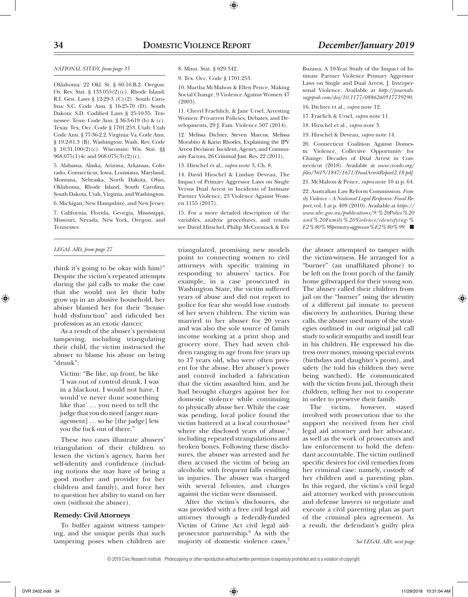#### *NATIONAL STUDY, from page 33*

Oklahoma: 22 Okl. St. § 60.16.B.2. Oregon: Or. Rev. Stat. § 133.055(2)(c). Rhode Island: R.I. Gen. Laws § 12-29-3 (C)(2). South Carolina: S.C. Code Ann. § 16-25-70 (D). South Dakota: S.D. Codified Laws § 25-10-35. Tennessee: Tenn. Code Ann. § 36-3-619 (b) & (c). Texas: Tex. Occ. Code § 1701.253. Utah: Utah Code Ann. § 77-36-2.2. Virginia: Va. Code Ann. § 19.2-81.3 (B). Washington: Wash. Rev. Code § 10.31.100(2)(c). Wisconsin: Wis. Stat. §§ 968.075(1)4c and 968.075(3)(2)(c).

5. Alabama, Alaska, Arizona, Arkansas, Colorado, Connecticut, Iowa, Louisiana, Maryland, Montana, Nebraska, North Dakota, Ohio, Oklahoma, Rhode Island, South Carolina, South Dakota, Utah, Virginia, and Washington. 6. Michigan, New Hampshire, and New Jersey.

7. California, Florida, Georgia, Mississippi, Missouri, Nevada, New York, Oregon, and Tennessee.

#### *LEGAL AID, from page 27*

⊕

think it's going to be okay with him?" Despite the victim's repeated attempts during the jail calls to make the case that she would not let their baby grow up in an abusive household, her abuser blamed her for their "household dysfunction" and ridiculed her profession as an exotic dancer.

As a result of the abuser's persistent tampering, including triangulating their child, the victim instructed the abuser to blame his abuse on being "drunk":

Victim: "Be like, up front, be like 'I was out of control drunk, I was in a blackout. I would not have, I would've never done something like that' … you need to tell the judge that you do need [anger management] … so he [the judge] lets you the fuck out of there."

These two cases illustrate abusers' triangulation of their children to lessen the victim's agency, harm her self-identity and confidence (including notions she may have of being a good mother and provider for her children and family), and force her to question her ability to stand on her own (without the abuser).

#### **Remedy: Civil Attorneys**

To buffer against witness tampering, and the unique perils that such tampering poses when children are

8. Minn. Stat. § 629.342.

9. Tex. Occ. Code § 1701.253.

10. Martha McMahon & Ellen Pence, Making Social Change, 9 Violence Against Women 47 (2003).

⊕

11. Cheryl Fraehlich, & Jane Ursel, Arresting Women: Pro-arrest Policies, Debates, and Developments, 29 J. Fam. Violence 507 (2014).

12. Melissa Dichter, Steven Marcus, Melissa Morabito & Karin Rhodes, Explaining the IPV Arrest Decision: Incident, Agency, and Community Factors, 26 Criminal Just. Rev. 22 (2011).

13. Hirschel et al., *supra* note 3, Ch. 8.

14. David Hirschel & Lindsay Deveau, The Impact of Primary Aggressor Laws on Single Versus Dual Arrest in Incidents of Intimate Partner Violence, 23 Violence Against Women 1155 (2017).

15. For a more detailed description of the variables, analytic procedures, and results see David Hirschel, Philip McCormack & Eve

triangulated, promising new models point to connecting women to civil attorneys with specific training in responding to abusers' tactics. For example, in a case prosecuted in Washington State, the victim suffered years of abuse and did not report to police for fear she would lose custody of her seven children. The victim was married to her abuser for 20 years and was also the sole source of family income working at a print shop and grocery store. They had seven children ranging in age from five years up to 17 years old, who were often present for the abuse. Her abuser's power and control included a fabrication that the victim assaulted him, and he had brought charges against her for domestic violence while continuing to physically abuse her. While the case was pending, local police found the victim battered at a local courthouse<sup>4</sup> where she disclosed years of abuse,<sup>5</sup> including repeated strangulations and broken bones. Following these disclosures, the abuser was arrested and he then accused the victim of being an alcoholic with frequent falls resulting in injuries. The abuser was charged with several felonies, and charges against the victim were dismissed.

After the victim's disclosures, she was provided with a free civil legal aid attorney through a federally-funded Victim of Crime Act civil legal aidprosecutor partnership.6 As with the majority of domestic violence cases,<sup>7</sup>

Buzawa, A 10-Year Study of the Impact of Intimate Partner Violence Primary Aggressor Laws on Single and Dual Arrest, J. Interpersonal Violence. Available at *http://journals. sagepub.com/doi/10.1177/0886260517739290.* 16. Dichter et al., *supra* note 12.

17. Fraelich & Ursel, *supra* note 11.

18. Hirschel et al., *supra* note 3.

19. Hirschel & Deveau, *supra* note 14.

20. Connecticut Coalition Against Domestic Violence, Collective Opportunity for Change: Decades of Dual Arrest in Connecticut (2018). Available at *www.ctcadv.org/ files/5615/1847/1671/DualArrestReport2.18.pdf.*

21. McMahon & Pence, *supra* note 10 at p. 64.

22. Australian Law Reform Commission. *Family Violence – A National Legal Response: Final Report*, vol. 1 at p. 409 (2010). Available at *https:// www.alrc.gov.au/publications/9.%20Police%20 and%20Family%20Violence/identifying-% E2%80%98primary-aggressor%E2%80%99.* ■

the abuser attempted to tamper with the victim-witness. He arranged for a "burner" (an unaffiliated phone) to be left on the front porch of the family home giftwrapped for their young son. The abuser called their children from jail on the "burner" using the identity of a different jail inmate to prevent discovery by authorities. During these calls, the abuser used many of the strategies outlined in our original jail call study to solicit sympathy and instill fear in his children. He expressed his distress over money, missing special events (birthdays and daughter's prom), and safety (he told his children they were being watched). He communicated with the victim from jail, through their children, telling her not to cooperate in order to preserve their family.

The victim, however, stayed involved with prosecution due to the support she received from her civil legal aid attorney and her advocate, as well as the work of prosecutors and law enforcement to hold the defendant accountable. The victim outlined specific desires for civil remedies from her criminal case: namely, custody of her children and a parenting plan. In this regard, the victim's civil legal aid attorney worked with prosecution and defense lawyers to negotiate and execute a civil parenting plan as part of the criminal plea agreement. As a result, the defendant's guilty plea

*See LEGAL AID, next page*

<sup>© 2019</sup> Civic Research Institute. Photocopying or other reproduction without written permission is expressly prohibited and is a violation of copyright.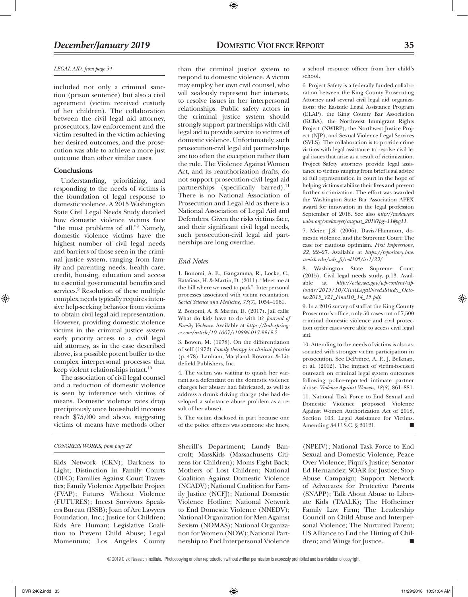#### *LEGAL AID, from page 34*

included not only a criminal sanction (prison sentence) but also a civil agreement (victim received custody of her children). The collaboration between the civil legal aid attorney, prosecutors, law enforcement and the victim resulted in the victim achieving her desired outcomes, and the prosecution was able to achieve a more just outcome than other similar cases.

#### **Conclusions**

Understanding, prioritizing, and responding to the needs of victims is the foundation of legal response to domestic violence. A 2015 Washington State Civil Legal Needs Study detailed how domestic violence victims face "the most problems of all."8 Namely, domestic violence victims have the highest number of civil legal needs and barriers of those seen in the criminal justice system, ranging from family and parenting needs, health care, credit, housing, education and access to essential governmental benefits and services.<sup>9</sup> Resolution of these multiple complex needs typically requires intensive help-seeking behavior from victims to obtain civil legal aid representation. However, providing domestic violence victims in the criminal justice system early priority access to a civil legal aid attorney, as in the case described above, is a possible potent buffer to the complex interpersonal processes that keep violent relationships intact.<sup>10</sup>

The association of civil legal counsel and a reduction of domestic violence is seen by inference with victims of means. Domestic violence rates drop precipitously once household incomes reach \$75,000 and above, suggesting victims of means have methods other

#### *CONGRESS WORKS, from page 28*

Kids Network (CKN); Darkness to Light; Distinction in Family Courts (DFC); Families Against Court Travesties; Family Violence Appellate Project (FVAP); Futures Without Violence (FUTURES); Incest Survivors Speakers Bureau (ISSB); Joan of Arc Lawyers Foundation, Inc.; Justice for Children; Kids Are Human; Legislative Coalition to Prevent Child Abuse; Legal Momentum; Los Angeles County

than the criminal justice system to respond to domestic violence. A victim may employ her own civil counsel, who will zealously represent her interests, to resolve issues in her interpersonal relationships. Public safety actors in the criminal justice system should strongly support partnerships with civil legal aid to provide service to victims of domestic violence. Unfortunately, such prosecution-civil legal aid partnerships are too often the exception rather than the rule. The Violence Against Women Act, and its reauthorization drafts, do not support prosecution-civil legal aid partnerships (specifically barred).<sup>11</sup> There is no National Association of Prosecution and Legal Aid as there is a National Association of Legal Aid and Defenders. Given the risks victims face, and their significant civil legal needs, such prosecution-civil legal aid partnerships are long overdue.

⊕

#### *End Notes*

1. Bonomi, A. E., Gangamma, R., Locke, C., Katafiasz, H. & Martin, D. (2011). "Meet me at the hill where we used to park": Interpersonal processes associated with victim recantation. *Social Science and Medicine, 73(7)*, 1054–1061.

2. Bonomi, A. & Martin, D. (2017). Jail calls: What do kids have to do with it? *Journal of Family Violence*. Available at *https://link.springer.com/article/10.1007/s10896-017-9919-2.*

3. Bowen, M. (1978). On the differentiation of self (1972) *Family therapy in clinical practice* (p. 478). Lanham, Maryland: Rowman & Littlefield Publishers, Inc.

4. The victim was waiting to quash her warrant as a defendant on the domestic violence charges her abuser had fabricated, as well as address a drunk driving charge (she had developed a substance abuse problem as a result of her abuse).

5. The victim disclosed in part because one of the police officers was someone she knew,

Sheriff's Department; Lundy Bancroft; MassKids (Massachusetts Citizens for Children); Moms Fight Back; Mothers of Lost Children; National Coalition Against Domestic Violence (NCADV); National Coalition for Family Justice (NCFJ); National Domestic Violence Hotline; National Network to End Domestic Violence (NNEDV); National Organization for Men Against Sexism (NOMAS); National Organization for Women (NOW); National Partnership to End Interpersonal Violence

a school resource officer from her child's school.

6. Project Safety is a federally funded collaboration between the King County Prosecuting Attorney and several civil legal aid organizations: the Eastside Legal Assistance Program (ELAP), the King County Bar Association (KCBA), the Northwest Immigrant Rights Project (NWIRP), the Northwest Justice Project (NJP), and Sexual Violence Legal Services (SVLS). The collaboration is to provide crime victims with legal assistance to resolve civil legal issues that arise as a result of victimization. Project Safety attorneys provide legal assistance to victims ranging from brief legal advice to full representation in court in the hope of helping victims stabilize their lives and prevent further victimization. The effort was awarded the Washington State Bar Association APEX award for innovation in the legal profession September of 2018. See also *http://nwlawyer. wsba.org/nwlawyer/august\_2018?pg=11#pg11*.

7. Meier, J.S. (2006). Davis/Hammon, domestic violence, and the Supreme Court: The case for cautious optimism. *First Impressions, 22,* 22–27. Available at *https://repository.law. umich.edu/mlr\_fi/vol105/iss1/23/.*

8. Washington State Supreme Court (2015). Civil legal needs study, p.13. Available at *http://ocla.wa.gov/wp-content/uploads/2015/10/CivilLegalNeedsStudy\_October2015\_V21\_Final10\_14\_15.pdf*.

9. In a 2016 survey of staff at the King County Prosecutor's office, only 50 cases out of 7,500 criminal domestic violence and civil protection order cases were able to access civil legal aid.

10. Attending to the needs of victims is also associated with stronger victim participation in prosecution. See DePrince, A. P., J. Belknap, et al. (2012). The impact of victim-focused outreach on criminal legal system outcomes following police-reported intimate partner abuse. *Violence Against Women*, *18(8)*, 861–881.

11. National Task Force to End Sexual and Domestic Violence proposed Violence Against Women Authorization Act of 2018, Section 103. Legal Assistance for Victims. Amending 34 U.S.C. § 20121.

(NPEIV); National Task Force to End Sexual and Domestic Violence; Peace Over Violence; Piqui's Justice; Senator Ed Hernandez; SOAR for Justice; Stop Abuse Campaign; Support Network of Advocates for Protective Parents (SNAPP); Talk About Abuse to Liberate Kids (TAALK); The Hofheimer Family Law Firm; The Leadership Council on Child Abuse and Interpersonal Violence; The Nurtured Parent; US Alliance to End the Hitting of Children; and Wings for Justice.

© 2019 Civic Research Institute. Photocopying or other reproduction without written permission is expressly prohibited and is a violation of copyright.